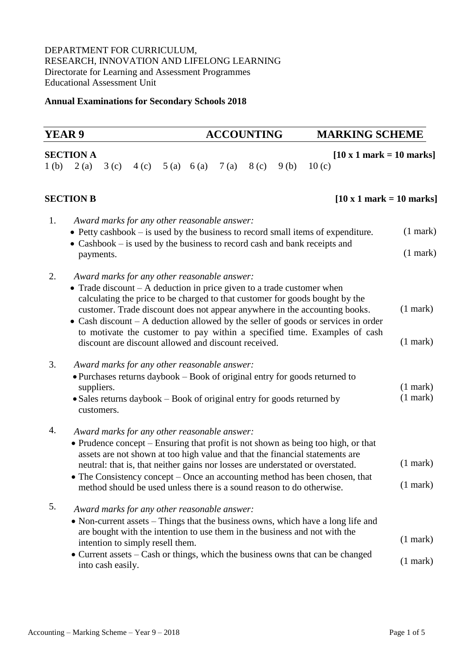## DEPARTMENT FOR CURRICULUM, RESEARCH, INNOVATION AND LIFELONG LEARNING Directorate for Learning and Assessment Programmes Educational Assessment Unit

## **Annual Examinations for Secondary Schools 2018**

| <b>YEAR 9</b>    |                          |                          |                                                                                                      |           | <b>ACCOUNTING</b> |                  |      | <b>MARKING SCHEME</b>                                                                                                                                                                                                                                                                                                                                                                                               |                                |
|------------------|--------------------------|--------------------------|------------------------------------------------------------------------------------------------------|-----------|-------------------|------------------|------|---------------------------------------------------------------------------------------------------------------------------------------------------------------------------------------------------------------------------------------------------------------------------------------------------------------------------------------------------------------------------------------------------------------------|--------------------------------|
| 1 <sub>(b)</sub> | <b>SECTION A</b><br>2(a) | 3(c)                     | 4 (c)                                                                                                | 5(a) 6(a) | 7(a)              | 8 <sub>(c)</sub> | 9(b) | $[10 \times 1$ mark = 10 marks]<br>10(c)                                                                                                                                                                                                                                                                                                                                                                            |                                |
|                  | <b>SECTION B</b>         |                          |                                                                                                      |           |                   |                  |      | $[10 \times 1$ mark = 10 marks]                                                                                                                                                                                                                                                                                                                                                                                     |                                |
| 1.               |                          | payments.                | Award marks for any other reasonable answer:                                                         |           |                   |                  |      | • Petty cashbook $-$ is used by the business to record small items of expenditure.<br>• Cashbook – is used by the business to record cash and bank receipts and                                                                                                                                                                                                                                                     | $(1$ mark $)$<br>$(1$ mark $)$ |
| 2.               |                          |                          | Award marks for any other reasonable answer:<br>discount are discount allowed and discount received. |           |                   |                  |      | • Trade discount $- A$ deduction in price given to a trade customer when<br>calculating the price to be charged to that customer for goods bought by the<br>customer. Trade discount does not appear anywhere in the accounting books.<br>• Cash discount $- A$ deduction allowed by the seller of goods or services in order<br>to motivate the customer to pay within a specified time. Examples of cash          | $(1$ mark $)$<br>$(1$ mark $)$ |
| 3.               |                          | suppliers.<br>customers. | Award marks for any other reasonable answer:                                                         |           |                   |                  |      | • Purchases returns daybook – Book of original entry for goods returned to<br>• Sales returns daybook - Book of original entry for goods returned by                                                                                                                                                                                                                                                                | $(1$ mark $)$<br>$(1$ mark $)$ |
| 4.               |                          |                          | Award marks for any other reasonable answer:                                                         |           |                   |                  |      | • Prudence concept – Ensuring that profit is not shown as being too high, or that<br>assets are not shown at too high value and that the financial statements are<br>neutral: that is, that neither gains nor losses are understated or overstated.<br>$\bullet$ The Consistency concept – Once an accounting method has been chosen, that<br>method should be used unless there is a sound reason to do otherwise. | $(1$ mark)<br>$(1$ mark $)$    |
| 5.               |                          | into cash easily.        | Award marks for any other reasonable answer:<br>intention to simply resell them.                     |           |                   |                  |      | • Non-current assets - Things that the business owns, which have a long life and<br>are bought with the intention to use them in the business and not with the<br>• Current assets – Cash or things, which the business owns that can be changed                                                                                                                                                                    | $(1$ mark)<br>$(1$ mark)       |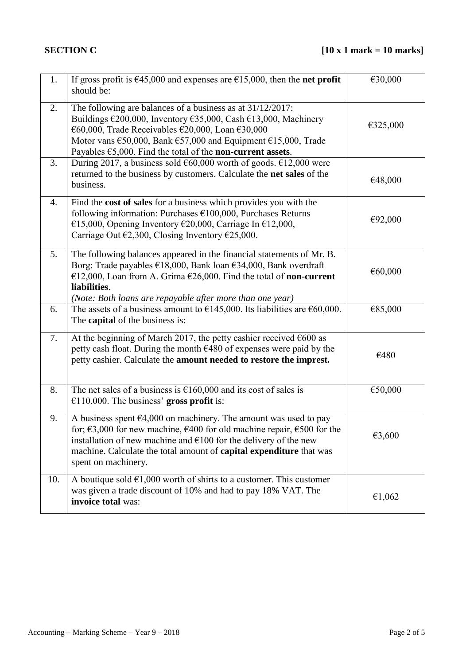| 1.  | If gross profit is $\epsilon$ 45,000 and expenses are $\epsilon$ 15,000, then the <b>net profit</b><br>should be:                                                                                                                                                                                                                                                                     | €30,000  |
|-----|---------------------------------------------------------------------------------------------------------------------------------------------------------------------------------------------------------------------------------------------------------------------------------------------------------------------------------------------------------------------------------------|----------|
| 2.  | The following are balances of a business as at 31/12/2017:<br>Buildings $\epsilon$ 200,000, Inventory $\epsilon$ 35,000, Cash $\epsilon$ 13,000, Machinery<br>€60,000, Trade Receivables €20,000, Loan €30,000<br>Motor vans $\epsilon$ 50,000, Bank $\epsilon$ 57,000 and Equipment $\epsilon$ 15,000, Trade<br>Payables $\epsilon$ 5,000. Find the total of the non-current assets. | €325,000 |
| 3.  | During 2017, a business sold $\epsilon$ 60,000 worth of goods. $\epsilon$ 12,000 were<br>returned to the business by customers. Calculate the net sales of the<br>business.                                                                                                                                                                                                           | €48,000  |
| 4.  | Find the cost of sales for a business which provides you with the<br>following information: Purchases $£100,000$ , Purchases Returns<br>€15,000, Opening Inventory €20,000, Carriage In €12,000,<br>Carriage Out $\epsilon$ 2,300, Closing Inventory $\epsilon$ 25,000.                                                                                                               | €92,000  |
| 5.  | The following balances appeared in the financial statements of Mr. B.<br>Borg: Trade payables €18,000, Bank loan €34,000, Bank overdraft<br>€12,000, Loan from A. Grima $€26,000$ . Find the total of <b>non-current</b><br>liabilities.<br>(Note: Both loans are repayable after more than one year)                                                                                 | €60,000  |
| 6.  | The assets of a business amount to $\epsilon$ 145,000. Its liabilities are $\epsilon$ 60,000.<br>The <b>capital</b> of the business is:                                                                                                                                                                                                                                               | €85,000  |
| 7.  | At the beginning of March 2017, the petty cashier received $600$ as<br>petty cash float. During the month €480 of expenses were paid by the<br>petty cashier. Calculate the amount needed to restore the imprest.                                                                                                                                                                     | €480     |
| 8.  | The net sales of a business is $\text{\e}160,000$ and its cost of sales is<br>$€110,000$ . The business' gross profit is:                                                                                                                                                                                                                                                             | €50,000  |
| 9.  | A business spent $64,000$ on machinery. The amount was used to pay<br>for; $\epsilon$ 3,000 for new machine, $\epsilon$ 400 for old machine repair, $\epsilon$ 500 for the<br>installation of new machine and $\epsilon$ 100 for the delivery of the new<br>machine. Calculate the total amount of <b>capital expenditure</b> that was<br>spent on machinery.                         | €3,600   |
| 10. | A boutique sold $\epsilon$ 1,000 worth of shirts to a customer. This customer<br>was given a trade discount of 10% and had to pay 18% VAT. The<br>invoice total was:                                                                                                                                                                                                                  | €1,062   |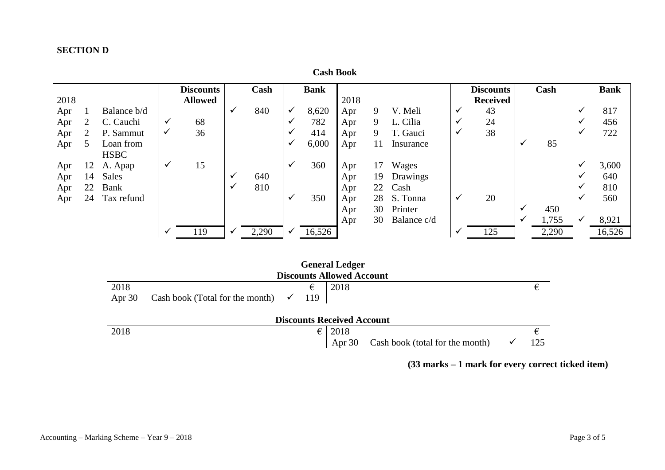## **SECTION D**

|      | <b>Cash Book</b> |              |              |                  |              |       |              |             |      |    |             |   |                  |              |       |              |             |
|------|------------------|--------------|--------------|------------------|--------------|-------|--------------|-------------|------|----|-------------|---|------------------|--------------|-------|--------------|-------------|
|      |                  |              |              | <b>Discounts</b> |              | Cash  |              | <b>Bank</b> |      |    |             |   | <b>Discounts</b> |              | Cash  |              | <b>Bank</b> |
| 2018 |                  |              |              | <b>Allowed</b>   |              |       |              |             | 2018 |    |             |   | <b>Received</b>  |              |       |              |             |
| Apr  |                  | Balance b/d  |              |                  | $\checkmark$ | 840   | $\checkmark$ | 8,620       | Apr  | 9  | V. Meli     | ✔ | 43               |              |       | ✓            | 817         |
| Apr  | 2                | C. Cauchi    | $\checkmark$ | 68               |              |       | ✔            | 782         | Apr  | 9  | L. Cilia    | v | 24               |              |       | ✓            | 456         |
| Apr  | 2                | P. Sammut    | ✓            | 36               |              |       | ✔            | 414         | Apr  | 9  | T. Gauci    | ✔ | 38               |              |       | ✓            | 722         |
| Apr  | 5                | Loan from    |              |                  |              |       | ✓            | 6,000       | Apr  | 11 | Insurance   |   |                  | ✔            | 85    |              |             |
|      |                  | <b>HSBC</b>  |              |                  |              |       |              |             |      |    |             |   |                  |              |       |              |             |
| Apr  | 12               | A. Apap      | $\checkmark$ | 15               |              |       | $\checkmark$ | 360         | Apr  | 17 | Wages       |   |                  |              |       | $\checkmark$ | 3,600       |
| Apr  | 14               | <b>Sales</b> |              |                  | $\checkmark$ | 640   |              |             | Apr  | 19 | Drawings    |   |                  |              |       | ✓            | 640         |
| Apr  | 22               | <b>Bank</b>  |              |                  | $\checkmark$ | 810   |              |             | Apr  | 22 | Cash        |   |                  |              |       | ✓            | 810         |
| Apr  | 24               | Tax refund   |              |                  |              |       | $\checkmark$ | 350         | Apr  |    | 28 S. Tonna | ✓ | 20               |              |       | $\checkmark$ | 560         |
|      |                  |              |              |                  |              |       |              |             | Apr  | 30 | Printer     |   |                  | $\checkmark$ | 450   |              |             |
|      |                  |              |              |                  |              |       |              |             | Apr  | 30 | Balance c/d |   |                  | ✓            | 1,755 | ✓            | 8,921       |
|      |                  |              | ✔            | 119              | v            | 2,290 | ✓            | 16,526      |      |    |             |   | 125              |              | 2,290 |              | 16,526      |

|          |                                              |     | <b>General Ledger</b>             |                                        |     |
|----------|----------------------------------------------|-----|-----------------------------------|----------------------------------------|-----|
|          |                                              |     | <b>Discounts Allowed Account</b>  |                                        |     |
| 2018     |                                              | €   | 2018                              |                                        |     |
| Apr $30$ | Cash book (Total for the month) $\checkmark$ | 119 |                                   |                                        |     |
|          |                                              |     | <b>Discounts Received Account</b> |                                        |     |
| 2018     |                                              | €   | 2018                              |                                        |     |
|          |                                              |     |                                   | Apr 30 Cash book (total for the month) | 125 |

**<sup>(33</sup> marks – 1 mark for every correct ticked item)**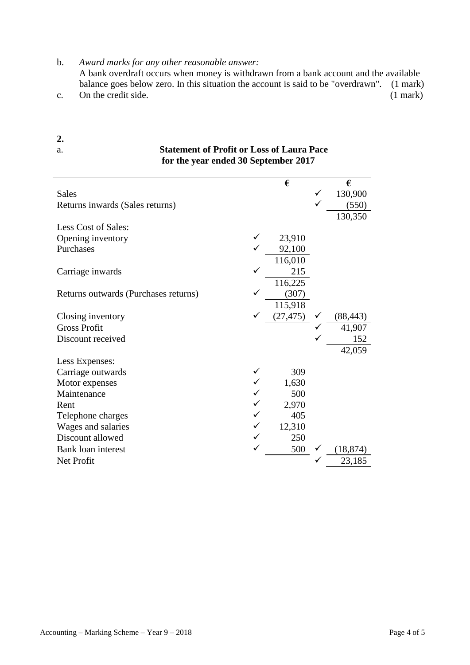b. *Award marks for any other reasonable answer:*

 A bank overdraft occurs when money is withdrawn from a bank account and the available balance goes below zero. In this situation the account is said to be "overdrawn". (1 mark) c. On the credit side. (1 mark)

|                                      | for the year ended 50 september 2017 |           |           |
|--------------------------------------|--------------------------------------|-----------|-----------|
|                                      |                                      | €         | €         |
| <b>Sales</b>                         |                                      |           | 130,900   |
| Returns inwards (Sales returns)      |                                      |           | (550)     |
|                                      |                                      |           | 130,350   |
| Less Cost of Sales:                  |                                      |           |           |
| Opening inventory                    |                                      | 23,910    |           |
| Purchases                            |                                      | 92,100    |           |
|                                      |                                      | 116,010   |           |
| Carriage inwards                     |                                      | 215       |           |
|                                      |                                      | 116,225   |           |
| Returns outwards (Purchases returns) |                                      | (307)     |           |
|                                      |                                      | 115,918   |           |
| Closing inventory                    |                                      | (27, 475) | (88, 443) |
| <b>Gross Profit</b>                  |                                      |           | 41,907    |
| Discount received                    |                                      |           | 152       |
|                                      |                                      |           | 42,059    |
| Less Expenses:                       |                                      |           |           |
| Carriage outwards                    |                                      | 309       |           |
| Motor expenses                       |                                      | 1,630     |           |
| Maintenance                          |                                      | 500       |           |
| Rent                                 |                                      | 2,970     |           |
| Telephone charges                    |                                      | 405       |           |
| Wages and salaries                   |                                      | 12,310    |           |
| Discount allowed                     |                                      | 250       |           |
| <b>Bank loan interest</b>            |                                      | 500       | (18, 874) |
| Net Profit                           |                                      |           | 23,185    |

**2.**  a. **Statement of Profit or Loss of Laura Pace for the year ended 30 September 2017**